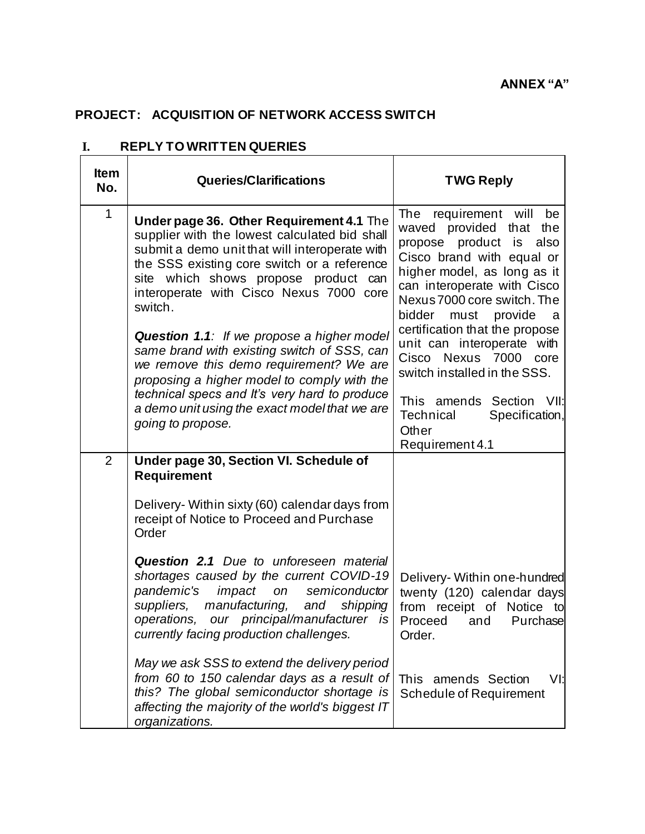## **PROJECT: ACQUISITION OF NETWORK ACCESS SWITCH**

| <b>Item</b><br>No. | <b>Queries/Clarifications</b>                                                                                                                                                                                                                                                            | <b>TWG Reply</b>                                                                                                                                                                                                                                                              |
|--------------------|------------------------------------------------------------------------------------------------------------------------------------------------------------------------------------------------------------------------------------------------------------------------------------------|-------------------------------------------------------------------------------------------------------------------------------------------------------------------------------------------------------------------------------------------------------------------------------|
| 1                  | Under page 36. Other Requirement 4.1 The<br>supplier with the lowest calculated bid shall<br>submit a demo unit that will interoperate with<br>the SSS existing core switch or a reference<br>site which shows propose product can<br>interoperate with Cisco Nexus 7000 core<br>switch. | The requirement will<br>be<br>waved provided that the<br>propose product is also<br>Cisco brand with equal or<br>higher model, as long as it<br>can interoperate with Cisco<br>Nexus 7000 core switch. The<br>bidder<br>must provide<br>- a<br>certification that the propose |
|                    | <b>Question 1.1:</b> If we propose a higher model<br>same brand with existing switch of SSS, can<br>we remove this demo requirement? We are<br>proposing a higher model to comply with the                                                                                               | unit can interoperate with<br>Cisco Nexus<br>7000<br>core<br>switch installed in the SSS.                                                                                                                                                                                     |
|                    | technical specs and It's very hard to produce<br>a demo unit using the exact model that we are<br>going to propose.                                                                                                                                                                      | This amends Section<br>- VII:<br>Specification,<br><b>Technical</b><br>Other<br>Requirement 4.1                                                                                                                                                                               |
| $\overline{2}$     | Under page 30, Section VI. Schedule of<br><b>Requirement</b>                                                                                                                                                                                                                             |                                                                                                                                                                                                                                                                               |
|                    | Delivery- Within sixty (60) calendar days from<br>receipt of Notice to Proceed and Purchase<br>Order                                                                                                                                                                                     |                                                                                                                                                                                                                                                                               |
|                    | Question 2.1 Due to unforeseen material<br>shortages caused by the current COVID-19<br>pandemic's<br>impact<br>semiconductor<br>on<br>suppliers, manufacturing,<br>and<br>shipping<br>operations, our principal/manufacturer is<br>currently facing production challenges.               | Delivery- Within one-hundred<br>twenty (120) calendar days<br>from receipt of Notice<br>to<br>Purchase<br>Proceed<br>and<br>Order.                                                                                                                                            |
|                    | May we ask SSS to extend the delivery period<br>from 60 to 150 calendar days as a result of<br>this? The global semiconductor shortage is<br>affecting the majority of the world's biggest IT<br>organizations.                                                                          | This amends Section<br>VI:<br><b>Schedule of Requirement</b>                                                                                                                                                                                                                  |

## **I. REPLY TO WRITTEN QUERIES**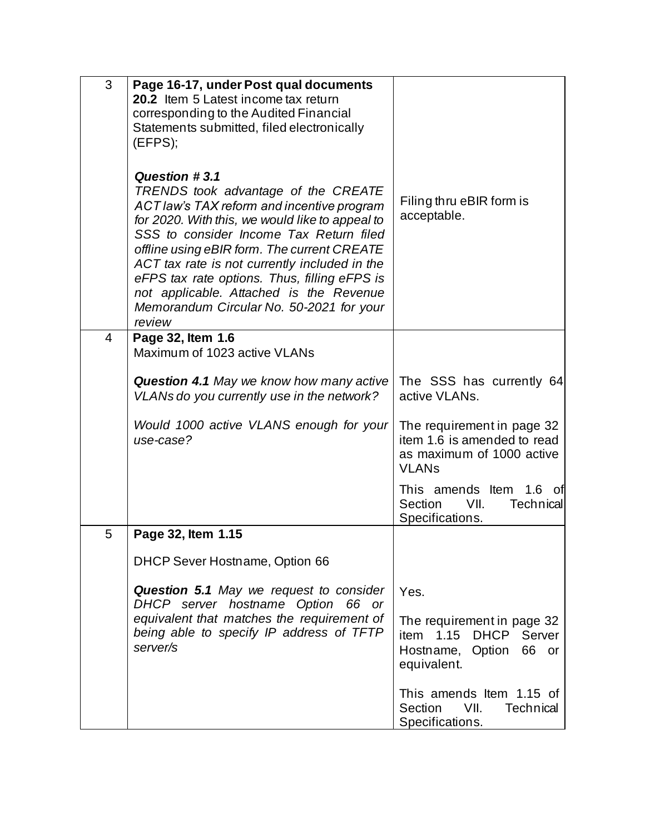| 3 | Page 16-17, under Post qual documents<br>20.2 Item 5 Latest income tax return<br>corresponding to the Audited Financial<br>Statements submitted, filed electronically<br>(EFPS);                                                                                                                                                                                                                                                                         |                                                                                                                   |
|---|----------------------------------------------------------------------------------------------------------------------------------------------------------------------------------------------------------------------------------------------------------------------------------------------------------------------------------------------------------------------------------------------------------------------------------------------------------|-------------------------------------------------------------------------------------------------------------------|
|   | Question #3.1<br>TRENDS took advantage of the CREATE<br><b>ACT law's TAX reform and incentive program</b><br>for 2020. With this, we would like to appeal to<br>SSS to consider Income Tax Return filed<br>offline using eBIR form. The current CREATE<br>ACT tax rate is not currently included in the<br>eFPS tax rate options. Thus, filling eFPS is<br>not applicable. Attached is the Revenue<br>Memorandum Circular No. 50-2021 for your<br>review | Filing thru eBIR form is<br>acceptable.                                                                           |
| 4 | Page 32, Item 1.6<br>Maximum of 1023 active VLANs                                                                                                                                                                                                                                                                                                                                                                                                        |                                                                                                                   |
|   | <b>Question 4.1</b> May we know how many active<br>VLANs do you currently use in the network?                                                                                                                                                                                                                                                                                                                                                            | The SSS has currently 64<br>active VLANs.                                                                         |
|   | Would 1000 active VLANS enough for your<br>use-case?                                                                                                                                                                                                                                                                                                                                                                                                     | The requirement in page 32<br>item 1.6 is amended to read<br>as maximum of 1000 active<br><b>VLAN<sub>s</sub></b> |
|   |                                                                                                                                                                                                                                                                                                                                                                                                                                                          | This amends Item<br>1.6 of<br>VII.<br>Section<br><b>Technical</b><br>Specifications.                              |
| 5 | Page 32, Item 1.15                                                                                                                                                                                                                                                                                                                                                                                                                                       |                                                                                                                   |
|   | <b>DHCP Sever Hostname, Option 66</b>                                                                                                                                                                                                                                                                                                                                                                                                                    |                                                                                                                   |
|   | <b>Question 5.1</b> May we request to consider<br>DHCP server hostname Option 66 or                                                                                                                                                                                                                                                                                                                                                                      | Yes.                                                                                                              |
|   | equivalent that matches the requirement of<br>being able to specify IP address of TFTP<br>server/s                                                                                                                                                                                                                                                                                                                                                       | The requirement in page 32<br>item 1.15 DHCP<br>Server<br>Hostname, Option<br>66 or<br>equivalent.                |
|   |                                                                                                                                                                                                                                                                                                                                                                                                                                                          | This amends Item 1.15 of<br>VII.<br>Section<br><b>Technical</b><br>Specifications.                                |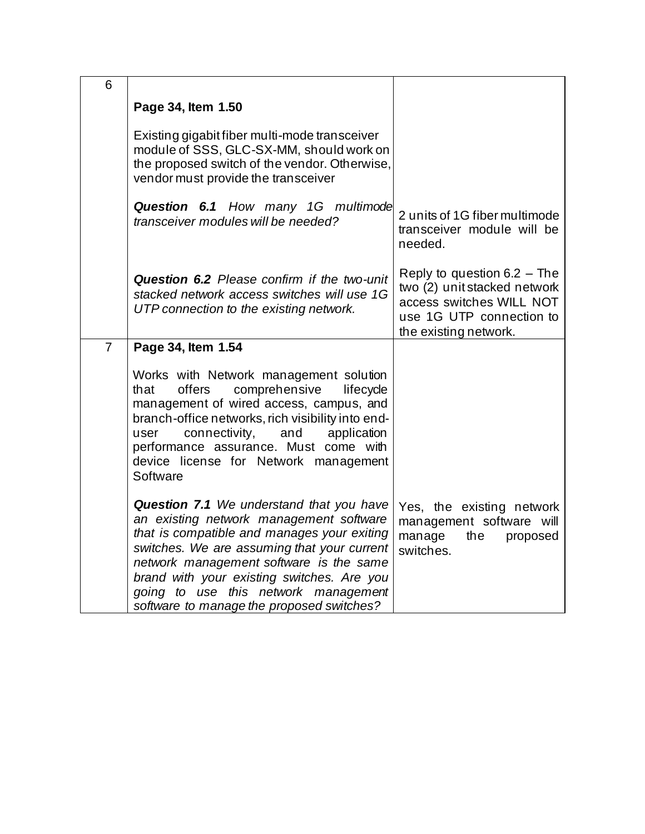| 6              |                                                                                                                                                                                                                                                                                                                                                                        |                                                                                                                                              |
|----------------|------------------------------------------------------------------------------------------------------------------------------------------------------------------------------------------------------------------------------------------------------------------------------------------------------------------------------------------------------------------------|----------------------------------------------------------------------------------------------------------------------------------------------|
|                | Page 34, Item 1.50                                                                                                                                                                                                                                                                                                                                                     |                                                                                                                                              |
|                | Existing gigabit fiber multi-mode transceiver<br>module of SSS, GLC-SX-MM, should work on<br>the proposed switch of the vendor. Otherwise,<br>vendor must provide the transceiver                                                                                                                                                                                      |                                                                                                                                              |
|                | Question 6.1 How many 1G multimode<br>transceiver modules will be needed?                                                                                                                                                                                                                                                                                              | 2 units of 1G fiber multimode<br>transceiver module will be<br>needed.                                                                       |
|                | Question 6.2 Please confirm if the two-unit<br>stacked network access switches will use 1G<br>UTP connection to the existing network.                                                                                                                                                                                                                                  | Reply to question 6.2 - The<br>two (2) unit stacked network<br>access switches WILL NOT<br>use 1G UTP connection to<br>the existing network. |
| $\overline{7}$ | Page 34, Item 1.54                                                                                                                                                                                                                                                                                                                                                     |                                                                                                                                              |
|                | Works with Network management solution<br>comprehensive<br>that<br>offers<br>lifecycle<br>management of wired access, campus, and<br>branch-office networks, rich visibility into end-<br>connectivity,<br>and<br>application<br>user<br>performance assurance. Must come with<br>device license for Network management<br>Software                                    |                                                                                                                                              |
|                | <b>Question 7.1</b> We understand that you have<br>an existing network management software<br>that is compatible and manages your exiting<br>switches. We are assuming that your current<br>network management software is the same<br>brand with your existing switches. Are you<br>going to use this network management<br>software to manage the proposed switches? | Yes, the existing network<br>management software will<br>manage<br>the<br>proposed<br>switches.                                              |